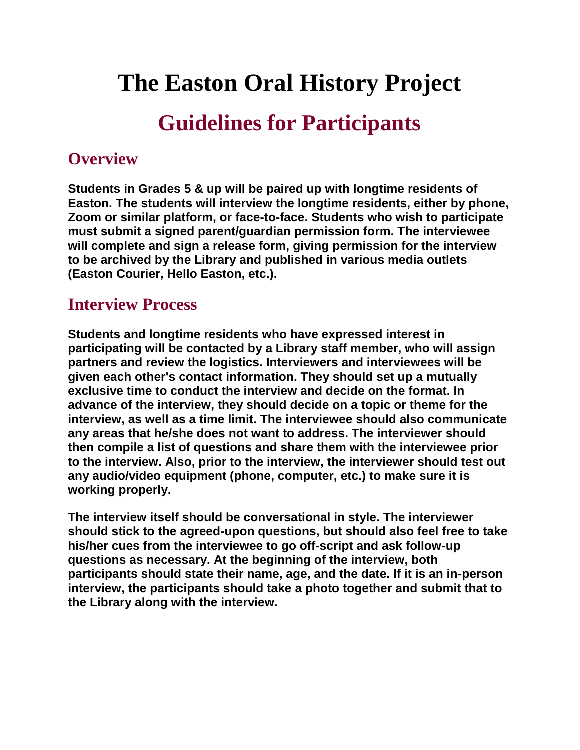# **The Easton Oral History Project**

# **Guidelines for Participants**

#### **Overview**

**Students in Grades 5 & up will be paired up with longtime residents of Easton. The students will interview the longtime residents, either by phone, Zoom or similar platform, or face-to-face. Students who wish to participate must submit a signed parent/guardian permission form. The interviewee will complete and sign a release form, giving permission for the interview to be archived by the Library and published in various media outlets (Easton Courier, Hello Easton, etc.).**

#### **Interview Process**

**Students and longtime residents who have expressed interest in participating will be contacted by a Library staff member, who will assign partners and review the logistics. Interviewers and interviewees will be given each other's contact information. They should set up a mutually exclusive time to conduct the interview and decide on the format. In advance of the interview, they should decide on a topic or theme for the interview, as well as a time limit. The interviewee should also communicate any areas that he/she does not want to address. The interviewer should then compile a list of questions and share them with the interviewee prior to the interview. Also, prior to the interview, the interviewer should test out any audio/video equipment (phone, computer, etc.) to make sure it is working properly.**

**The interview itself should be conversational in style. The interviewer should stick to the agreed-upon questions, but should also feel free to take his/her cues from the interviewee to go off-script and ask follow-up questions as necessary. At the beginning of the interview, both participants should state their name, age, and the date. If it is an in-person interview, the participants should take a photo together and submit that to the Library along with the interview.**